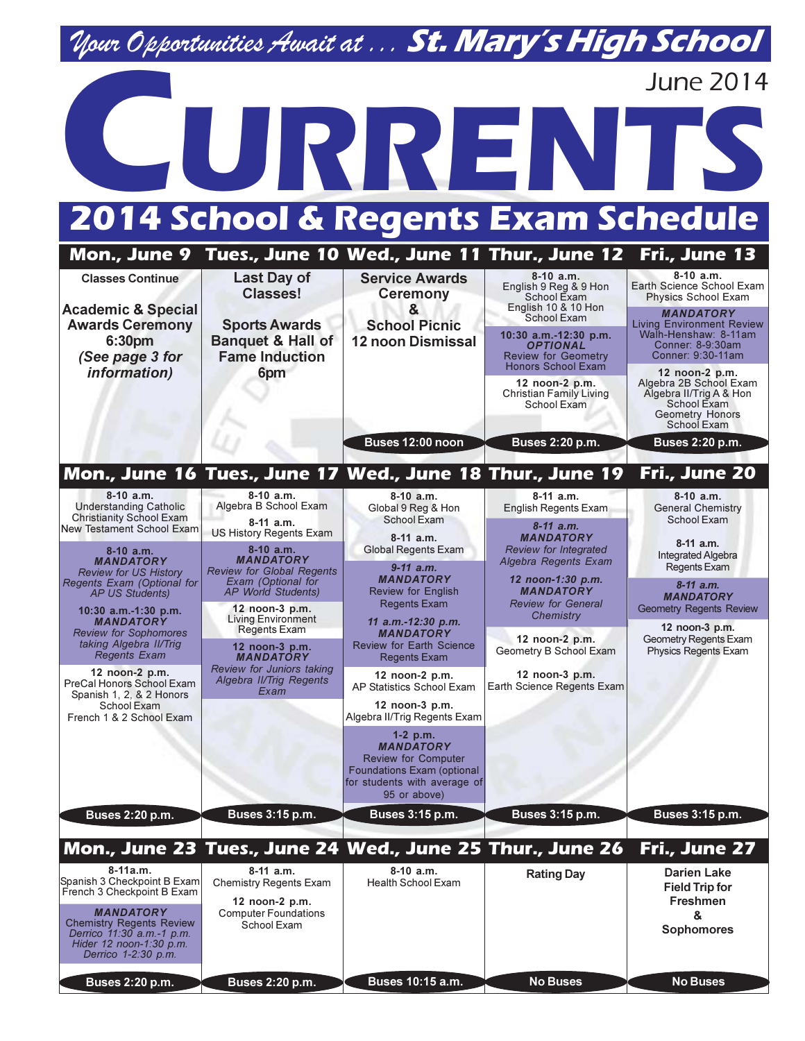## Nour Opportunities Await at ... St. Mary's High School



| Mon., June 9                                                                                                                                              |                                                                                                            |                                                                                                                                            | Tues., June 10 Wed., June 11 Thur., June 12                                                              | Fri., June 13                                                                                                               |  |
|-----------------------------------------------------------------------------------------------------------------------------------------------------------|------------------------------------------------------------------------------------------------------------|--------------------------------------------------------------------------------------------------------------------------------------------|----------------------------------------------------------------------------------------------------------|-----------------------------------------------------------------------------------------------------------------------------|--|
| <b>Classes Continue</b>                                                                                                                                   | Last Day of<br><b>Classes!</b>                                                                             | <b>Service Awards</b><br><b>Ceremony</b><br>&<br><b>School Picnic</b><br><b>12 noon Dismissal</b>                                          | $8-10$ a.m.<br>English 9 Reg & 9 Hon<br>School Exam<br>English 10 & 10 Hon                               | $8-10$ a.m.<br>Earth Science School Exam<br>Physics School Exam                                                             |  |
| <b>Academic &amp; Special</b><br><b>Awards Ceremony</b><br>6:30pm<br>(See page 3 for                                                                      | <b>Sports Awards</b><br><b>Banquet &amp; Hall of</b><br><b>Fame Induction</b><br>6pm                       |                                                                                                                                            | School Exam<br>10:30 a.m.-12:30 p.m.<br><b>OPTIONAL</b><br><b>Review for Geometry</b>                    | <b>MANDATORY</b><br><b>Living Environment Review</b><br>Walh-Henshaw: 8-11am<br>Conner: 8-9:30am<br>Conner: 9:30-11am       |  |
| <i>information</i> )                                                                                                                                      |                                                                                                            |                                                                                                                                            | <b>Honors School Exam</b><br>12 noon-2 p.m.<br><b>Christian Family Living</b><br>School Exam             | 12 noon-2 p.m.<br>Algebra 2B School Exam<br>Algebra II/Trig A & Hon<br>School Exam<br><b>Geometry Honors</b><br>School Exam |  |
|                                                                                                                                                           |                                                                                                            | Buses 12:00 noon                                                                                                                           | Buses 2:20 p.m.                                                                                          | Buses 2:20 p.m.                                                                                                             |  |
|                                                                                                                                                           |                                                                                                            | Mon., June 16 Tues., June 17 Wed., June 18 Thur., June 19                                                                                  |                                                                                                          | Fri., June 20                                                                                                               |  |
| $8-10$ a.m.<br><b>Understanding Catholic</b><br><b>Christianity School Exam</b><br>New Testament School Exam                                              | $8-10$ a.m.<br>Algebra B School Exam<br>$8-11$ a.m.<br>US History Regents Exam                             | $8-10$ a.m.<br>Global 9 Reg & Hon<br>School Exam<br>$8-11$ a.m.<br><b>Global Regents Exam</b>                                              | $8-11$ a.m.<br>English Regents Exam<br>$8 - 11$ a.m.<br><b>MANDATORY</b><br><b>Review for Integrated</b> | $8-10$ a.m.<br><b>General Chemistry</b><br>School Exam<br>$8-11$ a.m.                                                       |  |
| $8-10$ a.m.<br><b>MANDATORY</b><br><b>Review for US History</b><br>Regents Exam (Optional for                                                             | 8-10 a.m.<br><b>MANDATORY</b><br><b>Review for Global Regents</b><br>Exam (Optional for                    | $9-11$ a.m.<br><b>MANDATORY</b>                                                                                                            | Algebra Regents Exam<br>12 noon-1:30 p.m.                                                                | <b>Integrated Algebra</b><br><b>Regents Exam</b>                                                                            |  |
| <b>AP US Students)</b><br>$10:30$ a.m.-1:30 p.m.                                                                                                          | <b>AP World Students)</b><br>12 noon-3 p.m.                                                                | <b>Review for English</b><br><b>Regents Exam</b>                                                                                           | <b>MANDATORY</b><br><b>Review for General</b><br>Chemistry                                               | $8-11$ a.m.<br><b>MANDATORY</b><br><b>Geometry Regents Review</b>                                                           |  |
| <b>MANDATORY</b><br><b>Review for Sophomores</b><br>taking Algebra II/Trig<br><b>Regents Exam</b>                                                         | <b>Living Environment</b><br><b>Regents Exam</b><br>12 noon-3 p.m.<br><b>MANDATORY</b>                     | 11 a.m.-12:30 p.m.<br><b>MANDATORY</b><br><b>Review for Earth Science</b><br><b>Regents Exam</b>                                           | 12 noon-2 p.m.<br>Geometry B School Exam                                                                 | 12 noon-3 p.m.<br>Geometry Regents Exam<br>Physics Regents Exam                                                             |  |
| 12 noon-2 p.m.<br>PreCal Honors School Exam<br>Spanish 1, 2, & 2 Honors                                                                                   | Review for Juniors taking<br>Algebra II/Trig Regents<br>Exam                                               | 12 noon-2 p.m.<br>AP Statistics School Exam                                                                                                | 12 noon-3 p.m.<br>Earth Science Regents Exam                                                             |                                                                                                                             |  |
| School Exam<br>French 1 & 2 School Exam                                                                                                                   |                                                                                                            | 12 noon-3 p.m.<br>Algebra II/Trig Regents Exam                                                                                             |                                                                                                          |                                                                                                                             |  |
|                                                                                                                                                           |                                                                                                            | $1-2$ p.m.<br><b>MANDATORY</b><br><b>Review for Computer</b><br>Foundations Exam (optional<br>for students with average of<br>95 or above) |                                                                                                          |                                                                                                                             |  |
| Buses 2:20 p.m.                                                                                                                                           | Buses 3:15 p.m.                                                                                            | <b>Buses 3:15 p.m.</b>                                                                                                                     | Buses 3:15 p.m.                                                                                          | Buses 3:15 p.m.                                                                                                             |  |
|                                                                                                                                                           |                                                                                                            |                                                                                                                                            | Mon., June 23 Tues., June 24 Wed., June 25 Thur., June 26                                                | Fri., June 27                                                                                                               |  |
| 8-11a.m.<br>Spanish 3 Checkpoint B Exam<br>French 3 Checkpoint B Exam<br><b>MANDATORY</b><br><b>Chemistry Regents Review</b><br>Derrico 11:30 a.m.-1 p.m. | 8-11 a.m.<br><b>Chemistry Regents Exam</b><br>12 noon-2 p.m.<br><b>Computer Foundations</b><br>School Exam | $8-10$ a.m.<br><b>Health School Exam</b>                                                                                                   | <b>Rating Day</b>                                                                                        | <b>Darien Lake</b><br><b>Field Trip for</b><br>Freshmen<br>&<br><b>Sophomores</b>                                           |  |
| Hider 12 noon-1:30 p.m.<br>Derrico 1-2:30 p.m.<br><b>Buses 2:20 p.m.</b>                                                                                  | Buses 2:20 p.m.                                                                                            | Buses 10:15 a.m.                                                                                                                           | <b>No Buses</b>                                                                                          | <b>No Buses</b>                                                                                                             |  |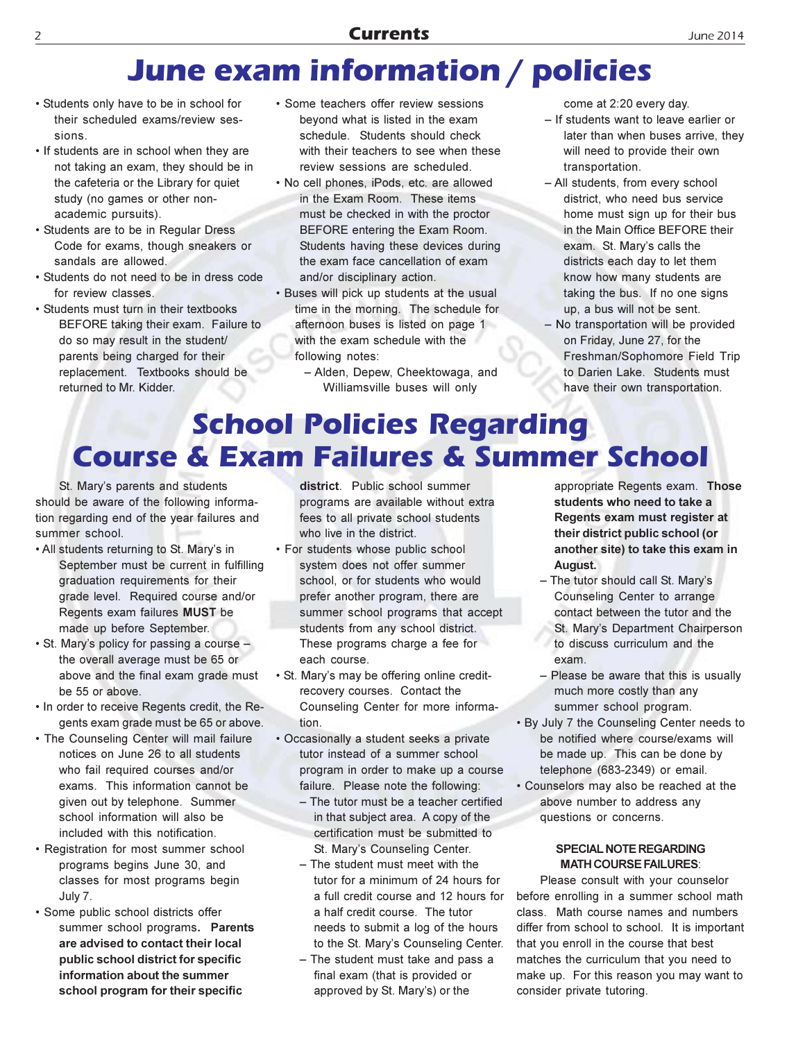## **June exam information / policies**

- Students only have to be in school for their scheduled exams/review sessions
- If students are in school when they are not taking an exam, they should be in the cafeteria or the Library for quiet study (no games or other nonacademic pursuits).
- Students are to be in Regular Dress Code for exams, though sneakers or sandals are allowed.
- Students do not need to be in dress code for review classes.
- Students must turn in their textbooks BEFORE taking their exam. Failure to do so may result in the student/ parents being charged for their replacement. Textbooks should be returned to Mr. Kidder.
- Some teachers offer review sessions beyond what is listed in the exam schedule. Students should check with their teachers to see when these review sessions are scheduled.
- No cell phones, iPods, etc. are allowed in the Exam Room. These items must be checked in with the proctor BEFORE entering the Exam Room. Students having these devices during the exam face cancellation of exam and/or disciplinary action.
- . Buses will pick up students at the usual time in the morning. The schedule for afternoon buses is listed on page 1 with the exam schedule with the following notes:
	- Alden, Depew, Cheektowaga, and Williamsville buses will only

come at 2:20 every day.

- If students want to leave earlier or later than when buses arrive, they will need to provide their own transportation.
- All students, from every school district, who need bus service home must sign up for their bus in the Main Office BEFORE their exam. St. Mary's calls the districts each day to let them know how many students are taking the bus. If no one signs up, a bus will not be sent.
- No transportation will be provided on Friday, June 27, for the Freshman/Sophomore Field Trip to Darien Lake. Students must have their own transportation.

## **School Policies Regarding Course & Exam Failures & Summer School**

St. Mary's parents and students should be aware of the following information regarding end of the year failures and summer school.

- . All students returning to St. Mary's in September must be current in fulfilling graduation requirements for their grade level. Required course and/or Regents exam failures MUST be made up before September.
- St. Mary's policy for passing a course the overall average must be 65 or above and the final exam grade must be 55 or above.
- In order to receive Regents credit, the Regents exam grade must be 65 or above.
- . The Counseling Center will mail failure notices on June 26 to all students who fail required courses and/or exams. This information cannot be given out by telephone. Summer school information will also be included with this notification.
- Registration for most summer school programs begins June 30, and classes for most programs begin July 7.
- · Some public school districts offer summer school programs. Parents are advised to contact their local public school district for specific information about the summer school program for their specific

district. Public school summer programs are available without extra fees to all private school students who live in the district.

- For students whose public school system does not offer summer school, or for students who would prefer another program, there are summer school programs that accept students from any school district. These programs charge a fee for each course.
- St. Mary's may be offering online creditrecovery courses. Contact the Counseling Center for more information.
- Occasionally a student seeks a private tutor instead of a summer school program in order to make up a course failure. Please note the following:
	- The tutor must be a teacher certified in that subject area. A copy of the certification must be submitted to St. Mary's Counseling Center.
	- The student must meet with the tutor for a minimum of 24 hours for a full credit course and 12 hours for a half credit course. The tutor needs to submit a log of the hours to the St. Mary's Counseling Center.
	- The student must take and pass a final exam (that is provided or approved by St. Mary's) or the

appropriate Regents exam. Those students who need to take a Regents exam must register at their district public school (or another site) to take this exam in August.

- The tutor should call St. Mary's Counseling Center to arrange contact between the tutor and the St. Mary's Department Chairperson to discuss curriculum and the exam
- Please be aware that this is usually much more costly than any summer school program.
- . By July 7 the Counseling Center needs to be notified where course/exams will be made up. This can be done by telephone (683-2349) or email.
- Counselors may also be reached at the above number to address any questions or concerns.

### **SPECIAL NOTE REGARDING MATH COURSE FAILURES:**

Please consult with your counselor before enrolling in a summer school math class. Math course names and numbers differ from school to school. It is important that you enroll in the course that best matches the curriculum that you need to make up. For this reason you may want to consider private tutoring.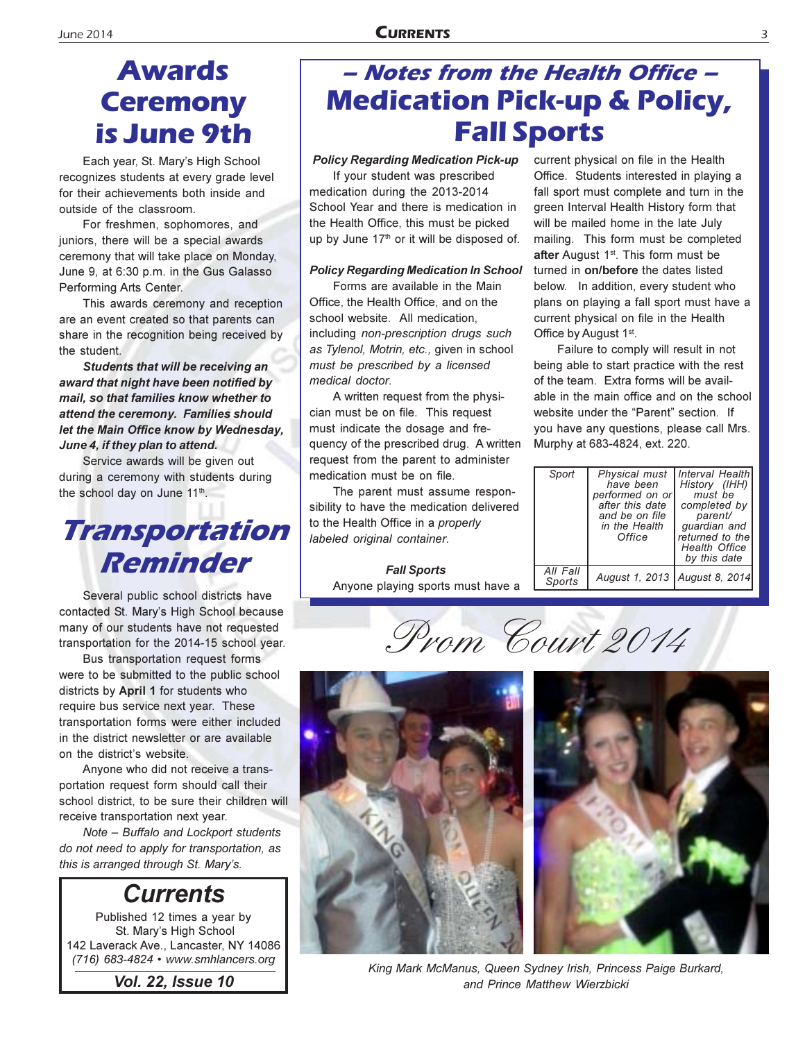## **Awards Ceremony** is June 9th

Each year, St. Mary's High School recognizes students at every grade level for their achievements both inside and outside of the classroom.

For freshmen, sophomores, and juniors, there will be a special awards ceremony that will take place on Monday, June 9, at 6:30 p.m. in the Gus Galasso Performing Arts Center.

This awards ceremony and reception are an event created so that parents can share in the recognition being received by the student.

Students that will be receiving an award that night have been notified by mail, so that families know whether to attend the ceremony. Families should let the Main Office know by Wednesday, June 4, if they plan to attend.

Service awards will be given out during a ceremony with students during the school day on June 11<sup>th</sup>.

## Transportation **Reminder**

Several public school districts have contacted St. Mary's High School because many of our students have not requested transportation for the 2014-15 school year.

Bus transportation request forms were to be submitted to the public school districts by April 1 for students who require bus service next year. These transportation forms were either included in the district newsletter or are available on the district's website.

Anyone who did not receive a transportation request form should call their school district, to be sure their children will receive transportation next year.

Note - Buffalo and Lockport students do not need to apply for transportation, as this is arranged through St. Mary's.

### **Currents**

Published 12 times a year by St. Mary's High School 142 Laverack Ave., Lancaster, NY 14086 (716) 683-4824 • www.smhlancers.org

### - Notes from the Health Office -**Medication Pick-up & Policy, Fall Sports**

### **Policy Regarding Medication Pick-up**

If your student was prescribed medication during the 2013-2014 School Year and there is medication in the Health Office, this must be picked up by June 17th or it will be disposed of.

#### **Policy Regarding Medication In School**

Forms are available in the Main Office, the Health Office, and on the school website. All medication, including non-prescription drugs such as Tylenol, Motrin, etc., given in school must be prescribed by a licensed medical doctor.

A written request from the physician must be on file. This request must indicate the dosage and frequency of the prescribed drug. A written request from the parent to administer medication must be on file.

The parent must assume responsibility to have the medication delivered to the Health Office in a properly labeled original container.

> **Fall Sports** Anyone playing sports must have a

current physical on file in the Health Office. Students interested in playing a fall sport must complete and turn in the green Interval Health History form that will be mailed home in the late July mailing. This form must be completed after August 1<sup>st</sup>. This form must be turned in on/before the dates listed below. In addition, every student who plans on playing a fall sport must have a current physical on file in the Health Office by August 1st.

Failure to comply will result in not being able to start practice with the rest of the team. Extra forms will be available in the main office and on the school website under the "Parent" section. If you have any questions, please call Mrs. Murphy at 683-4824, ext. 220.

| Sport              | Physical must<br>have been<br>performed on or<br>after this date<br>and be on file<br>in the Health<br>Office | Interval Health<br>History (IHH)<br>must be<br>completed by<br>parent/<br>quardian and<br>returned to the<br>Health Office<br>by this date |
|--------------------|---------------------------------------------------------------------------------------------------------------|--------------------------------------------------------------------------------------------------------------------------------------------|
| All Fall<br>Sports | August 1, 2013   August 8, 2014                                                                               |                                                                                                                                            |

Prom Court 2014



King Mark McManus, Queen Sydney Irish, Princess Paige Burkard, and Prince Matthew Wierzbicki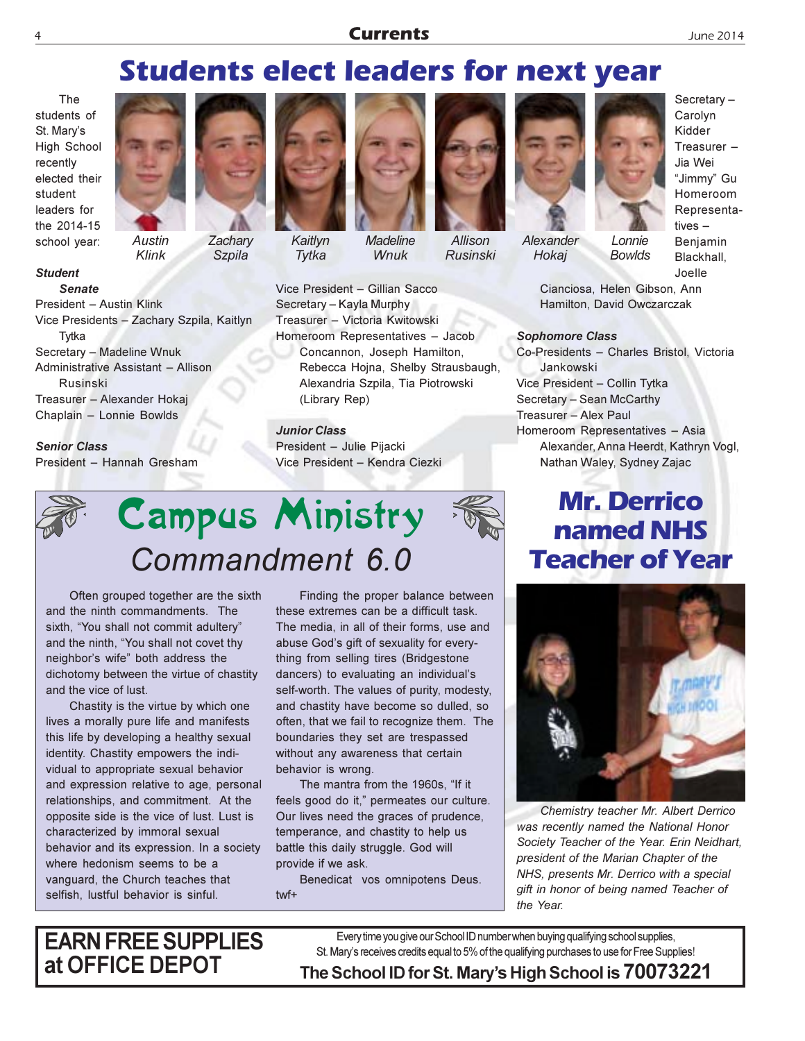### **Currents**

### **Students elect leaders for next year**

The students of St. Mary's **High School** recently elected their student leaders for the 2014-15 school year:

**Student** 

**Senate** 



**Austin** Klink



**Szpila** 



Kaitlvn Tytka



**Madeline** Wnuk



Allison **Rusinski** 



Alexander Hokaj

Secretary-Carolyn Kidder Treasurer  $-$ Jia Wei "Jimmy" Gu Homeroom Representatives  $-$ Benjamin Blackhall. Joelle

Cianciosa, Helen Gibson, Ann Hamilton, David Owczarczak

Lonnie

**Bowlds** 

#### **Sophomore Class**

Co-Presidents - Charles Bristol, Victoria Jankowski Vice President - Collin Tytka Secretary - Sean McCarthy Treasurer - Alex Paul Homeroom Representatives - Asia Alexander, Anna Heerdt, Kathryn Vogl, Nathan Waley, Sydney Zajac

### **Mr. Derrico** named NHS **Teacher of Year**



Chemistry teacher Mr. Albert Derrico was recently named the National Honor Society Teacher of the Year. Erin Neidhart, president of the Marian Chapter of the NHS, presents Mr. Derrico with a special gift in honor of being named Teacher of the Year.

President - Austin Klink Vice Presidents - Zachary Szpila, Kaitlyn Tytka Secretary - Madeline Wnuk Administrative Assistant - Allison Rusinski Treasurer - Alexander Hokaj Chaplain - Lonnie Bowlds

### **Senior Class**

President - Hannah Gresham

Vice President - Gillian Sacco Secretary - Kayla Murphy Treasurer - Victoria Kwitowski Homeroom Representatives - Jacob Concannon, Joseph Hamilton, Rebecca Hojna, Shelby Strausbaugh, Alexandria Szpila, Tia Piotrowski (Library Rep)

> **Junior Class** President - Julie Pijacki Vice President - Kendra Ciezki



Often grouped together are the sixth and the ninth commandments. The sixth, "You shall not commit adultery" and the ninth, "You shall not covet thy neighbor's wife" both address the dichotomy between the virtue of chastity and the vice of lust.

Chastity is the virtue by which one lives a morally pure life and manifests this life by developing a healthy sexual identity. Chastity empowers the individual to appropriate sexual behavior and expression relative to age, personal relationships, and commitment. At the opposite side is the vice of lust. Lust is characterized by immoral sexual behavior and its expression. In a society where hedonism seems to be a vanquard, the Church teaches that selfish, lustful behavior is sinful.

Finding the proper balance between these extremes can be a difficult task. The media, in all of their forms, use and abuse God's gift of sexuality for everything from selling tires (Bridgestone dancers) to evaluating an individual's self-worth. The values of purity, modesty, and chastity have become so dulled, so often, that we fail to recognize them. The boundaries they set are trespassed without any awareness that certain behavior is wrong.

The mantra from the 1960s. "If it feels good do it," permeates our culture. Our lives need the graces of prudence, temperance, and chastity to help us battle this daily struggle. God will provide if we ask.

Benedicat vos omnipotens Deus.  $twf+$ 

**EARN FREE SUPPLIES** at OFFICE DEPOT

Every time you give our School ID number when buying qualifying school supplies, St. Mary's receives credits equal to 5% of the qualifying purchases to use for Free Supplies! The School ID for St. Mary's High School is 70073221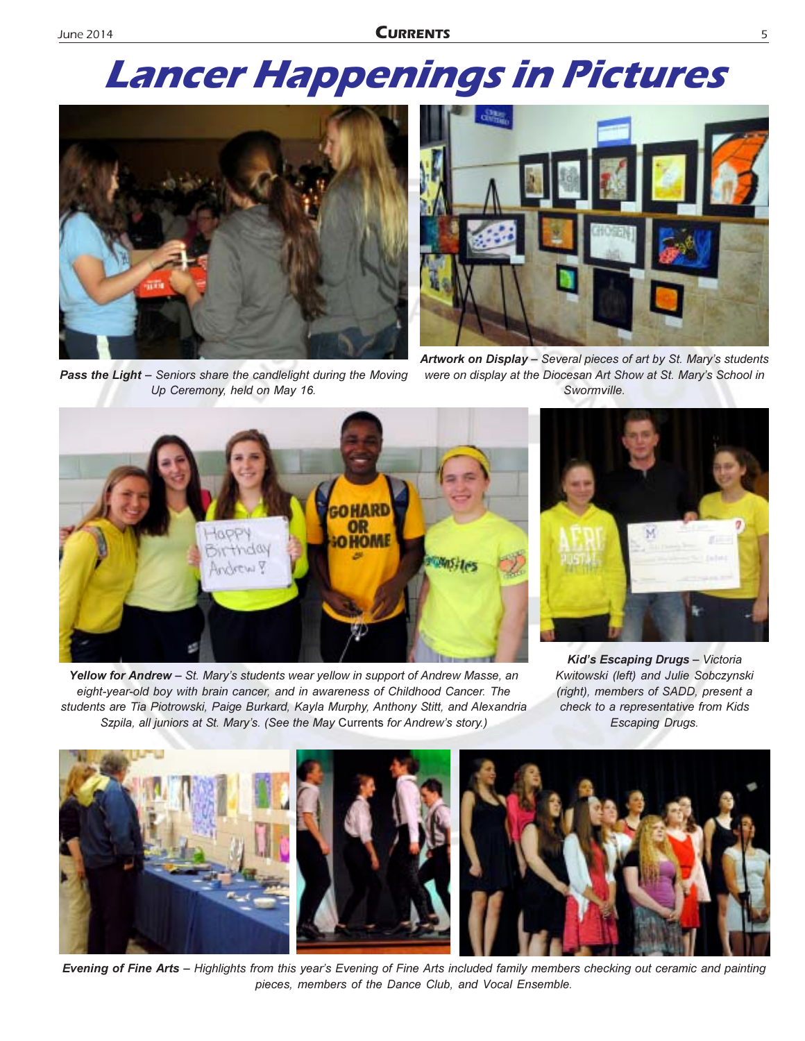# **Lancer Happenings in Pictures**



Pass the Light - Seniors share the candlelight during the Moving Up Ceremony, held on May 16.



Artwork on Display - Several pieces of art by St. Mary's students were on display at the Diocesan Art Show at St. Mary's School in Swormville.



Yellow for Andrew - St. Mary's students wear yellow in support of Andrew Masse, an eight-year-old boy with brain cancer, and in awareness of Childhood Cancer. The students are Tia Piotrowski, Paige Burkard, Kayla Murphy, Anthony Stitt, and Alexandria Szpila, all juniors at St. Mary's. (See the May Currents for Andrew's story.)



Kid's Escaping Drugs - Victoria Kwitowski (left) and Julie Sobczynski (right), members of SADD, present a check to a representative from Kids **Escaping Drugs.** 



Evening of Fine Arts - Highlights from this year's Evening of Fine Arts included family members checking out ceramic and painting pieces, members of the Dance Club, and Vocal Ensemble.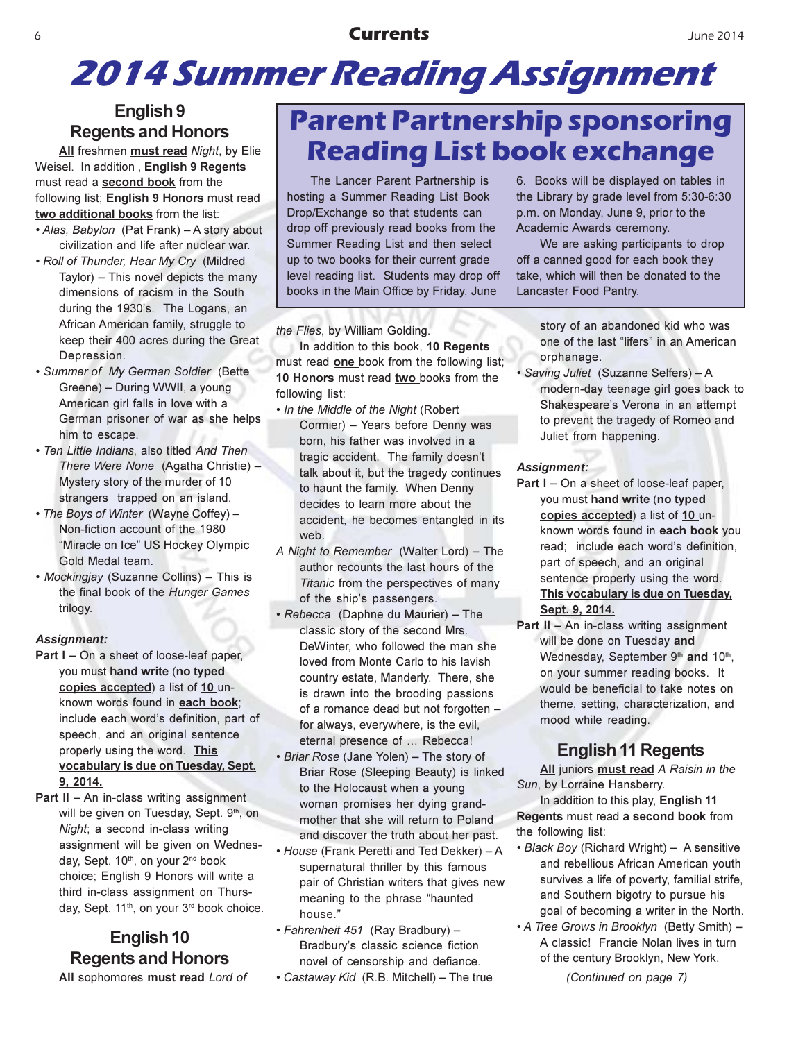### **Currents**

## **2014 Summer Reading Assignment**

### English<sub>9</sub> **Regents and Honors**

All freshmen must read Night, by Elie Weisel. In addition, English 9 Regents must read a second book from the following list: English 9 Honors must read two additional books from the list:

- Alas, Babylon (Pat Frank) A story about civilization and life after nuclear war.
- . Roll of Thunder, Hear My Cry (Mildred Taylor) - This novel depicts the many dimensions of racism in the South during the 1930's. The Logans, an African American family, struggle to keep their 400 acres during the Great Depression.
- · Summer of My German Soldier (Bette Greene) - During WWII, a young American girl falls in love with a German prisoner of war as she helps him to escape.
- · Ten Little Indians, also titled And Then There Were None (Agatha Christie) -Mystery story of the murder of 10 strangers trapped on an island.
- The Boys of Winter (Wayne Coffey) -Non-fiction account of the 1980 "Miracle on Ice" US Hockey Olympic Gold Medal team.
- Mockingjay (Suzanne Collins) This is the final book of the Hunger Games trilogy.

### **Assignment:**

- **Part I** On a sheet of loose-leaf paper. you must hand write (no typed copies accepted) a list of 10 unknown words found in each book; include each word's definition, part of speech, and an original sentence properly using the word. This vocabulary is due on Tuesday, Sept. 9, 2014.
- Part II An in-class writing assignment will be given on Tuesday, Sept. 9th, on Night; a second in-class writing assignment will be given on Wednesday, Sept. 10th, on your 2<sup>nd</sup> book choice; English 9 Honors will write a third in-class assignment on Thursday, Sept. 11<sup>th</sup>, on your 3<sup>rd</sup> book choice.

### English 10 **Regents and Honors**

All sophomores must read Lord of

## **Parent Partnership sponsoring Reading List book exchange**

The Lancer Parent Partnership is hosting a Summer Reading List Book Drop/Exchange so that students can drop off previously read books from the Summer Reading List and then select up to two books for their current grade level reading list. Students may drop off books in the Main Office by Friday, June

the Flies, by William Golding.

In addition to this book, 10 Regents must read one book from the following list; 10 Honors must read two books from the following list:

- . In the Middle of the Night (Robert Cormier) - Years before Denny was born, his father was involved in a tragic accident. The family doesn't talk about it, but the tragedy continues to haunt the family. When Denny decides to learn more about the accident, he becomes entangled in its web.
- A Night to Remember (Walter Lord) The author recounts the last hours of the Titanic from the perspectives of many of the ship's passengers.
- Rebecca (Daphne du Maurier) The classic story of the second Mrs. DeWinter, who followed the man she loved from Monte Carlo to his lavish country estate, Manderly. There, she is drawn into the brooding passions of a romance dead but not forgotten for always, everywhere, is the evil, eternal presence of ... Rebecca!
- · Briar Rose (Jane Yolen) The story of Briar Rose (Sleeping Beauty) is linked to the Holocaust when a young woman promises her dying grandmother that she will return to Poland and discover the truth about her past.
- House (Frank Peretti and Ted Dekker) A supernatural thriller by this famous pair of Christian writers that gives new meaning to the phrase "haunted house."
- · Fahrenheit 451 (Ray Bradbury) -Bradbury's classic science fiction novel of censorship and defiance.
- Castaway Kid (R.B. Mitchell) The true

6. Books will be displayed on tables in the Library by grade level from 5:30-6:30 p.m. on Monday, June 9, prior to the Academic Awards ceremony.

We are asking participants to drop off a canned good for each book they take, which will then be donated to the Lancaster Food Pantry.

> story of an abandoned kid who was one of the last "lifers" in an American orphanage.

· Saving Juliet (Suzanne Selfers) - A modern-day teenage girl goes back to Shakespeare's Verona in an attempt to prevent the tragedy of Romeo and Juliet from happening.

#### **Assignment:**

- Part I On a sheet of loose-leaf paper, you must hand write (no typed copies accepted) a list of 10 unknown words found in each book you read; include each word's definition, part of speech, and an original sentence properly using the word. This vocabulary is due on Tuesday, Sept. 9, 2014.
- **Part II An in-class writing assignment** will be done on Tuesday and Wednesday, September 9th and 10th, on your summer reading books. It would be beneficial to take notes on theme, setting, characterization, and mood while reading.

### **English 11 Regents**

All juniors must read A Raisin in the Sun, by Lorraine Hansberry.

In addition to this play, English 11 Regents must read a second book from the following list:

- Black Boy (Richard Wright) A sensitive and rebellious African American youth survives a life of poverty, familial strife, and Southern bigotry to pursue his goal of becoming a writer in the North.
- A Tree Grows in Brooklyn (Betty Smith) -A classic! Francie Nolan lives in turn of the century Brooklyn, New York.

(Continued on page 7)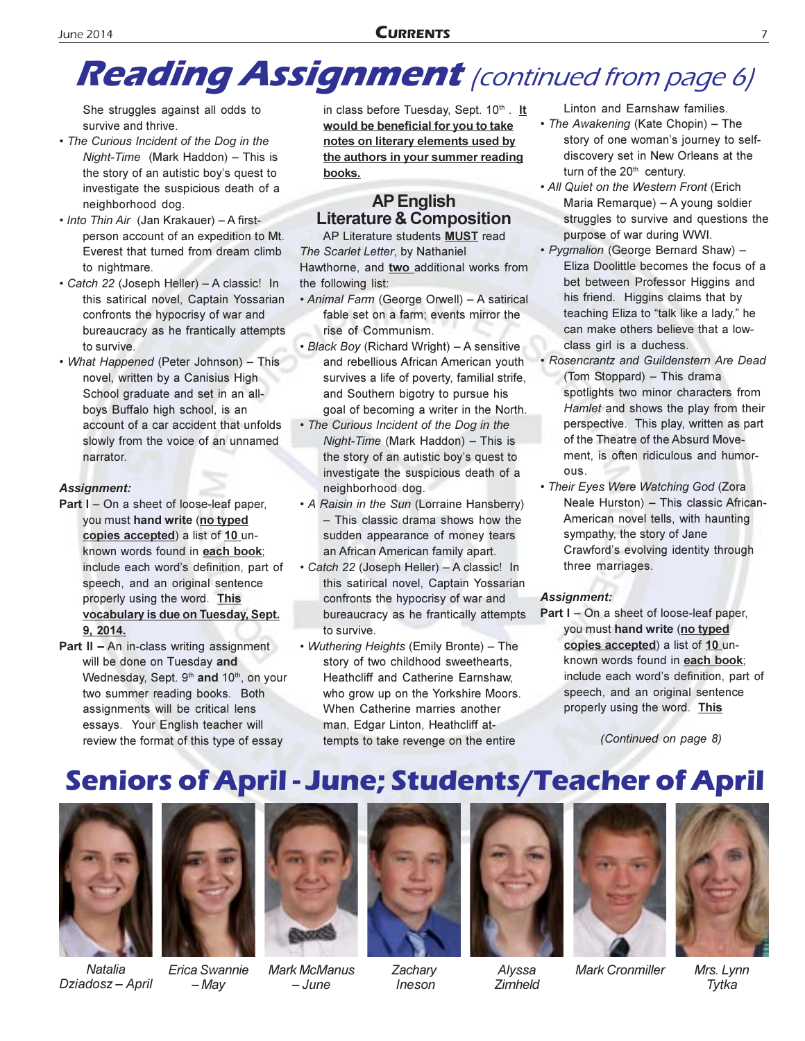## **Reading Assignment** (continued from page 6)

She struggles against all odds to survive and thrive.

- The Curious Incident of the Dog in the Night-Time (Mark Haddon) - This is the story of an autistic boy's quest to investigate the suspicious death of a neighborhood dog.
- Into Thin Air (Jan Krakauer) A firstperson account of an expedition to Mt. Everest that turned from dream climb to nightmare.
- Catch 22 (Joseph Heller) A classic! In this satirical novel, Captain Yossarian confronts the hypocrisy of war and bureaucracy as he frantically attempts to survive.
- What Happened (Peter Johnson) This novel, written by a Canisius High School graduate and set in an allboys Buffalo high school, is an account of a car accident that unfolds slowly from the voice of an unnamed narrator.

### **Assignment:**

- Part I On a sheet of loose-leaf paper, you must hand write (no typed copies accepted) a list of 10 unknown words found in each book; include each word's definition, part of speech, and an original sentence properly using the word. This vocabulary is due on Tuesday, Sept. 9, 2014.
- **Part II An in-class writing assignment** will be done on Tuesday and Wednesday, Sept. 9th and 10th, on your two summer reading books. Both assignments will be critical lens essays. Your English teacher will review the format of this type of essay

in class before Tuesday, Sept. 10th. It would be beneficial for you to take notes on literary elements used by the authors in your summer reading books.

### **AP English Literature & Composition**

AP Literature students **MUST** read The Scarlet Letter, by Nathaniel Hawthorne, and two additional works from the following list:

- Animal Farm (George Orwell) A satirical fable set on a farm; events mirror the rise of Communism.
- Black Boy (Richard Wright) A sensitive and rebellious African American youth survives a life of poverty, familial strife, and Southern bigotry to pursue his goal of becoming a writer in the North.
- The Curious Incident of the Dog in the Night-Time (Mark Haddon) - This is the story of an autistic boy's quest to investigate the suspicious death of a neighborhood dog.
- A Raisin in the Sun (Lorraine Hansberry) - This classic drama shows how the sudden appearance of money tears an African American family apart.
- Catch 22 (Joseph Heller) A classic! In this satirical novel, Captain Yossarian confronts the hypocrisy of war and bureaucracy as he frantically attempts to survive.
- Wuthering Heights (Emily Bronte) The story of two childhood sweethearts, Heathcliff and Catherine Earnshaw, who grow up on the Yorkshire Moors. When Catherine marries another man, Edgar Linton, Heathcliff attempts to take revenge on the entire

Linton and Earnshaw families.

- The Awakening (Kate Chopin) The story of one woman's journey to selfdiscovery set in New Orleans at the turn of the 20<sup>th</sup> century.
- All Quiet on the Western Front (Erich Maria Remarque) - A young soldier struggles to survive and questions the purpose of war during WWI.
- · Pygmalion (George Bernard Shaw) -Eliza Doolittle becomes the focus of a bet between Professor Higgins and his friend. Higgins claims that by teaching Eliza to "talk like a lady," he can make others believe that a lowclass girl is a duchess.
- Rosencrantz and Guildenstern Are Dead (Tom Stoppard) - This drama spotlights two minor characters from Hamlet and shows the play from their perspective. This play, written as part of the Theatre of the Absurd Movement. is often ridiculous and humor-OUS.
- Their Eyes Were Watching God (Zora Neale Hurston) - This classic African-American novel tells, with haunting sympathy, the story of Jane Crawford's evolving identity through three marriages.

### **Assignment:**

Part I - On a sheet of loose-leaf paper, you must hand write (no typed copies accepted) a list of 10 unknown words found in each book; include each word's definition, part of speech, and an original sentence properly using the word. This

(Continued on page 8)

## **Seniors of April - June; Students/Teacher of April**



**Natalia** Dziadosz - April



Erica Swannie – May



Mark McManus - June



Zachary Ineson



Alyssa Zimheld



**Mark Cronmiller** 



Mrs. Lynn Tytka

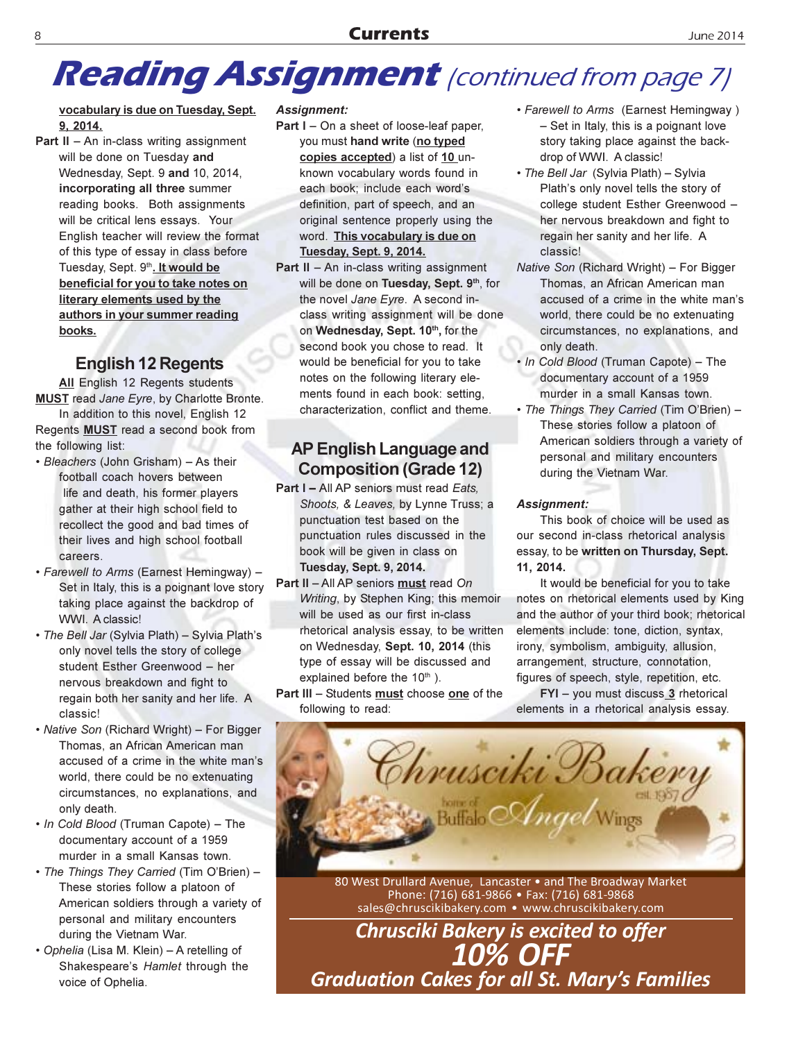## **Reading Assignment** (continued from page 7)

### vocabulary is due on Tuesday, Sept. 9, 2014.

**Part II**  $-$  An in-class writing assignment will be done on Tuesday and Wednesday, Sept. 9 and 10, 2014, incorporating all three summer reading books. Both assignments will be critical lens essays. Your English teacher will review the format of this type of essay in class before Tuesday, Sept. 9th. It would be beneficial for you to take notes on literary elements used by the authors in your summer reading books.

### **English 12 Regents**

All English 12 Regents students **MUST** read Jane Eyre, by Charlotte Bronte. In addition to this novel, English 12 Regents MUST read a second book from

- the following list: • Bleachers (John Grisham) - As their football coach hovers between life and death, his former players gather at their high school field to recollect the good and bad times of their lives and high school football careers.
- Farewell to Arms (Earnest Hemingway) -Set in Italy, this is a poignant love story taking place against the backdrop of **WWI.** A classic!
- The Bell Jar (Sylvia Plath) Sylvia Plath's only novel tells the story of college student Esther Greenwood - her nervous breakdown and fight to regain both her sanity and her life. A classic!
- Native Son (Richard Wright) For Bigger Thomas, an African American man accused of a crime in the white man's world, there could be no extenuating circumstances, no explanations, and only death.
- In Cold Blood (Truman Capote) The documentary account of a 1959 murder in a small Kansas town.
- The Things They Carried (Tim O'Brien) -These stories follow a platoon of American soldiers through a variety of personal and military encounters during the Vietnam War.
- Ophelia (Lisa M. Klein) A retelling of Shakespeare's Hamlet through the voice of Ophelia.

### **Assignment:**

- **Part I** On a sheet of loose-leaf paper, you must hand write (no typed copies accepted) a list of 10 unknown vocabulary words found in each book; include each word's definition, part of speech, and an original sentence properly using the word. This vocabulary is due on Tuesday, Sept. 9, 2014.
- Part II An in-class writing assignment will be done on Tuesday, Sept. 9th, for the novel Jane Eyre. A second inclass writing assignment will be done on Wednesday, Sept. 10th, for the second book you chose to read. It would be beneficial for you to take notes on the following literary elements found in each book: setting, characterization, conflict and theme.

### **AP English Language and Composition (Grade 12)**

- Part I All AP seniors must read Eats. Shoots, & Leaves, by Lynne Truss; a punctuation test based on the punctuation rules discussed in the book will be given in class on **Tuesday, Sept. 9, 2014.**
- Part II All AP seniors must read On Writing, by Stephen King; this memoir will be used as our first in-class rhetorical analysis essay, to be written on Wednesday, Sept. 10, 2014 (this type of essay will be discussed and explained before the 10<sup>th</sup>).
- Part III Students must choose one of the following to read:
- Farewell to Arms (Earnest Hemingway) - Set in Italy, this is a poignant love story taking place against the backdrop of WWI. A classic!
- The Bell Jar (Sylvia Plath) Sylvia Plath's only novel tells the story of college student Esther Greenwood her nervous breakdown and fight to regain her sanity and her life. A classic!
- Native Son (Richard Wright) For Bigger Thomas, an African American man accused of a crime in the white man's world, there could be no extenuating circumstances, no explanations, and only death.
- . In Cold Blood (Truman Capote) The documentary account of a 1959 murder in a small Kansas town.
- The Things They Carried (Tim O'Brien) -These stories follow a platoon of American soldiers through a variety of personal and military encounters during the Vietnam War.

### Assignment:

This book of choice will be used as our second in-class rhetorical analysis essay, to be written on Thursday, Sept. 11, 2014.

It would be beneficial for you to take notes on rhetorical elements used by King and the author of your third book; rhetorical elements include: tone, diction, syntax, irony, symbolism, ambiguity, allusion, arrangement, structure, connotation, figures of speech, style, repetition, etc.

FYI - you must discuss 3 rhetorical elements in a rhetorical analysis essay.



80 West Drullard Avenue, Lancaster • and The Broadway Market Phone: (716) 681-9866 · Fax: (716) 681-9868 sales@chruscikibakery.com • www.chruscikibakery.com

**Chrusciki Bakery is excited to offer 10% OFF Graduation Cakes for all St. Mary's Families**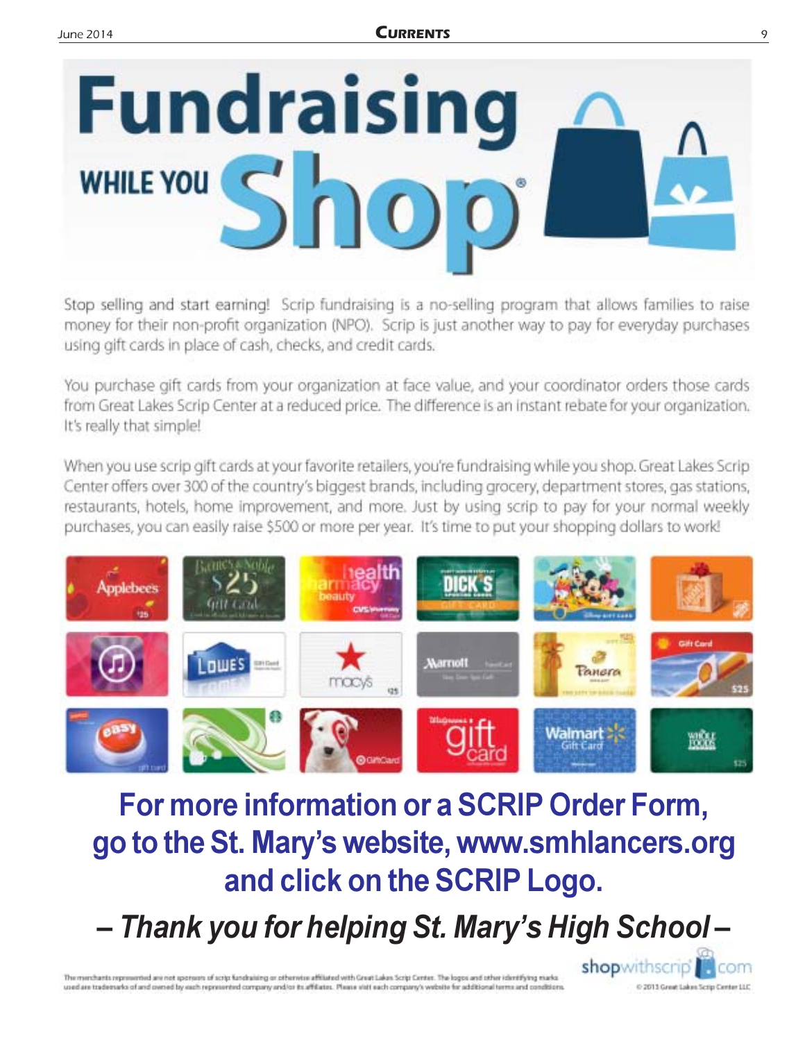

Stop selling and start earning! Scrip fundraising is a no-selling program that allows families to raise money for their non-profit organization (NPO). Scrip is just another way to pay for everyday purchases using gift cards in place of cash, checks, and credit cards.

You purchase gift cards from your organization at face value, and your coordinator orders those cards from Great Lakes Scrip Center at a reduced price. The difference is an instant rebate for your organization. It's really that simple!

When you use scrip gift cards at your favorite retailers, you're fundraising while you shop. Great Lakes Scrip Center offers over 300 of the country's biggest brands, including grocery, department stores, gas stations, restaurants, hotels, home improvement, and more. Just by using scrip to pay for your normal weekly purchases, you can easily raise \$500 or more per year. It's time to put your shopping dollars to work!



## For more information or a SCRIP Order Form, go to the St. Mary's website, www.smhlancers.org and click on the SCRIP Logo.

- Thank you for helping St. Mary's High School-

The memberia represented are not sponsors of scrip fundraising or otherwise affiliated with Great Lakes Scrip Center. The logos and other identifying marks used are trademarks of and owned by each represented company and/or its affiliates. Please visit each company's website for additional terms and conditions

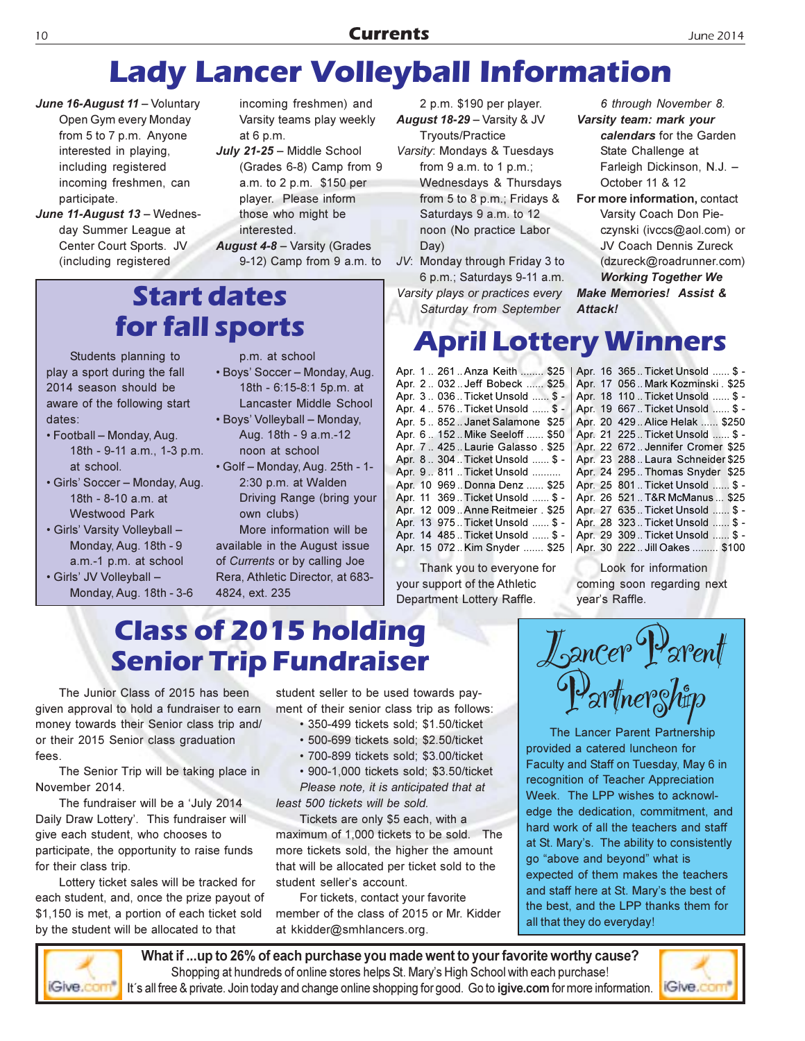## **Lady Lancer Volleyball Information**

- June 16-August 11 Voluntary Open Gym every Monday from 5 to 7 p.m. Anyone interested in playing, including registered incoming freshmen, can participate.
- June 11-August 13 Wednesday Summer League at Center Court Sports. JV (including registered

incoming freshmen) and Varsity teams play weekly at 6 p.m.

July 21-25 - Middle School (Grades 6-8) Camp from 9 a.m. to 2 p.m. \$150 per player. Please inform those who might be interested. August 4-8 - Varsity (Grades

9-12) Camp from 9 a.m. to

### **Start dates** for fall sports

Students planning to play a sport during the fall 2014 season should be aware of the following start dates:

- Football Monday, Aug. 18th - 9-11 a.m., 1-3 p.m. at school.
- · Girls' Soccer Monday, Aug. 18th - 8-10 a.m. at **Westwood Park**
- Girls' Varsity Volleyball -Monday, Aug. 18th - 9 a.m.-1 p.m. at school
- · Girls' JV Volleyball -Monday, Aug. 18th - 3-6
- · Boys' Soccer Monday, Aug. 18th - 6:15-8:1 5p.m. at Lancaster Middle School · Boys' Volleyball - Monday,
- Aug. 18th 9 a.m.-12 noon at school
- Golf Monday, Aug. 25th 1-2:30 p.m. at Walden Driving Range (bring your own clubs)

More information will be available in the August issue of Currents or by calling Joe Rera, Athletic Director, at 683-4824, ext. 235

2 p.m. \$190 per player. **August 18-29 - Varsity & JV Tryouts/Practice** Varsity: Mondays & Tuesdays

from  $9$  a.m. to  $1$  p.m.; Wednesdays & Thursdays from 5 to 8 p.m.; Fridays & Saturdays 9 a.m. to 12 noon (No practice Labor Day)

JV: Monday through Friday 3 to 6 p.m.; Saturdays 9-11 a.m. Varsity plays or practices every Saturday from September

6 through November 8. Varsity team: mark your calendars for the Garden State Challenge at Farleigh Dickinson, N.J. -October 11 & 12

For more information, contact Varsity Coach Don Pieczynski (ivccs@aol.com) or JV Coach Dennis Zureck (dzureck@roadrunner.com) **Working Together We** 

**Make Memories! Assist &** Attack!

## **April Lottery Winners**

| Apr. 1  261 Anza Keith  \$25      |
|-----------------------------------|
| Apr. 2 032Jeff Bobeck  \$25       |
| 4pr. 3  036 Ticket Unsold …… \$ - |
| Apr. 4 576Ticket Unsold  \$ -     |
| Apr. 5 852Janet Salamone \$25     |
| Apr. 6 152Mike Seeloff  \$50      |
| Apr. 7 425. Laurie Galasso. \$25  |
| Apr. 8  304 Ticket Unsold …… \$ - |
| Apr. 9 811 Ticket Unsold          |
| Apr. 10 969Donna Denz  \$25       |
| Apr. 11 369Ticket Unsold  \$ -    |
| Apr. 12 009 Anne Reitmeier . \$25 |
| Apr. 13 975Ticket Unsold  \$ -    |
|                                   |
| Apr. 15 072Kim Snyder  \$25       |
|                                   |

Thank you to everyone for your support of the Athletic Department Lottery Raffle.

Apr. 16 365. Ticket Unsold ...... \$ -Apr. 17 056. Mark Kozminski. \$25 Apr. 18 110 .. Ticket Unsold ...... \$ -Apr. 19 667 .. Ticket Unsold ...... \$ -Apr. 20 429 .. Alice Helak ...... \$250 Apr. 21 225. Ticket Unsold ...... \$ -Apr. 22 672. Jennifer Cromer \$25 Apr. 23 288. Laura Schneider \$25 Apr. 24 295.. Thomas Snyder \$25 Apr. 25 801. Ticket Unsold ...... \$ -Apr. 26 521 .. T&R McManus ... \$25 Apr. 27 635. Ticket Unsold ...... \$ -Apr. 28 323. Ticket Unsold ...... \$ -Apr. 29 309. Ticket Unsold ...... \$ -Apr. 30 222 .. Jill Oakes ........ \$100

Look for information coming soon regarding next year's Raffle.

### **Class of 2015 holding Senior Trip Fundraiser**

The Junior Class of 2015 has been given approval to hold a fundraiser to earn money towards their Senior class trip and/ or their 2015 Senior class graduation fees.

The Senior Trip will be taking place in November 2014.

The fundraiser will be a 'July 2014 Daily Draw Lottery'. This fundraiser will give each student, who chooses to participate, the opportunity to raise funds for their class trip.

Lottery ticket sales will be tracked for each student, and, once the prize payout of \$1,150 is met, a portion of each ticket sold by the student will be allocated to that

student seller to be used towards payment of their senior class trip as follows:

- · 350-499 tickets sold; \$1.50/ticket
- · 500-699 tickets sold: \$2.50/ticket
- · 700-899 tickets sold; \$3.00/ticket · 900-1,000 tickets sold; \$3.50/ticket

Please note, it is anticipated that at least 500 tickets will be sold.

Tickets are only \$5 each, with a maximum of 1,000 tickets to be sold. The more tickets sold, the higher the amount that will be allocated per ticket sold to the student seller's account.

For tickets, contact your favorite member of the class of 2015 or Mr. Kidder at kkidder@smhlancers.org.



The Lancer Parent Partnership provided a catered luncheon for Faculty and Staff on Tuesday, May 6 in recognition of Teacher Appreciation Week. The LPP wishes to acknowledge the dedication, commitment, and hard work of all the teachers and staff at St. Mary's. The ability to consistently go "above and beyond" what is expected of them makes the teachers and staff here at St. Mary's the best of the best, and the LPP thanks them for all that they do everyday!



What if ...up to 26% of each purchase you made went to your favorite worthy cause? Shopping at hundreds of online stores helps St. Mary's High School with each purchase! It's all free & private. Join today and change online shopping for good. Go to igive.com for more information.



p.m. at school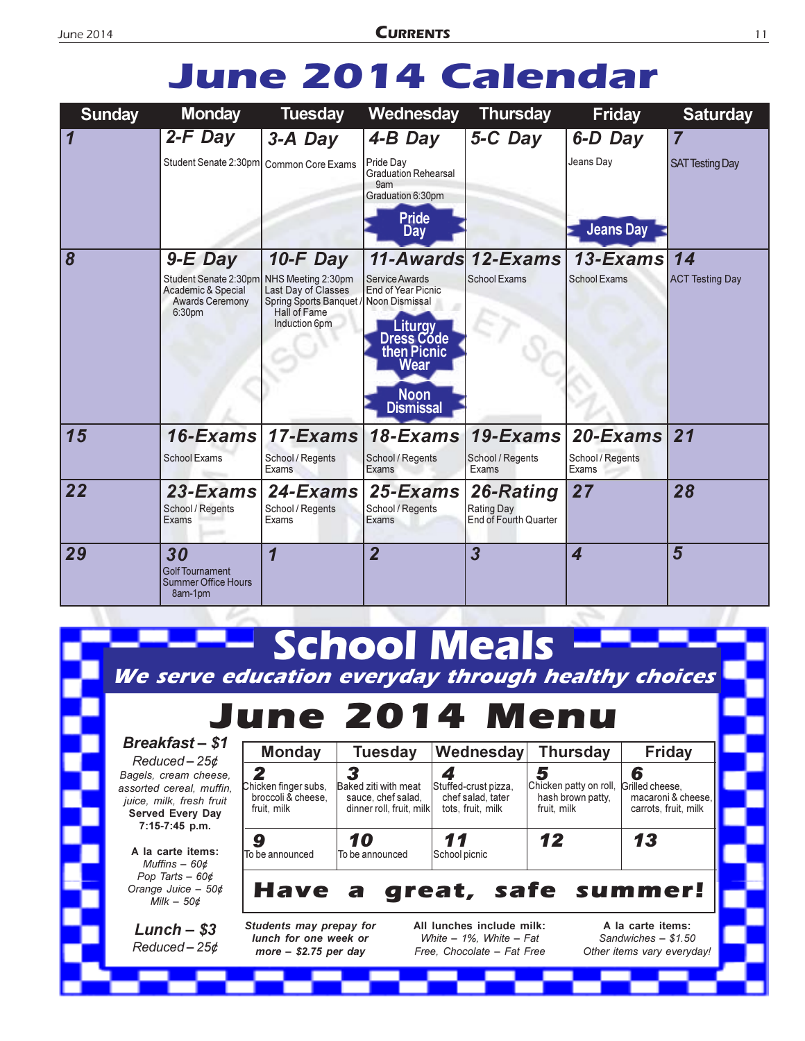## **June 2014 Calendar**

| <b>Sunday</b>           | <b>Monday</b>                                                                                | <b>Tuesday</b>                                                                                                                      | Wednesday                                                                                                               | <b>Thursday</b>                                  | <b>Friday</b>                            | <b>Saturday</b>                          |
|-------------------------|----------------------------------------------------------------------------------------------|-------------------------------------------------------------------------------------------------------------------------------------|-------------------------------------------------------------------------------------------------------------------------|--------------------------------------------------|------------------------------------------|------------------------------------------|
| $\overline{\mathbf{1}}$ | $2-F$ Day<br>Student Senate 2:30pm   Common Core Exams                                       | $3-A$ Day                                                                                                                           | 4-B Day<br>Pride Day<br><b>Graduation Rehearsal</b><br>9am<br>Graduation 6:30pm<br><b>Pride</b><br>Day                  | 5-C Day                                          | 6-D Day<br>Jeans Day<br><b>Jeans Day</b> | $\overline{7}$<br><b>SAT Testing Day</b> |
| 8                       | $9-E$ Day<br>Student Senate 2:30pm<br>Academic & Special<br><b>Awards Ceremony</b><br>6:30pm | $10$ -F Day<br>NHS Meeting 2:30pm<br>Last Day of Classes<br>Spring Sports Banquet / Noon Dismissal<br>Hall of Fame<br>Induction 6pm | Service Awards<br>End of Year Picnic<br>Liturgy<br>Dress Code<br>then Picnic<br>Wear<br><b>Noon</b><br><b>Dismissal</b> | 11-Awards 12-Exams<br><b>School Exams</b>        | $13$ -Exams<br><b>School Exams</b>       | 14<br><b>ACT Testing Day</b>             |
| 15                      | $16$ -Exams<br><b>School Exams</b>                                                           | $17$ -Exams<br>School / Regents<br>Exams                                                                                            | 18-Exams<br>School / Regents<br>Exams                                                                                   | 19-Exams<br>School / Regents<br>Exams            | 20-Exams<br>School / Regents<br>Exams    | 21                                       |
| 22                      | $23$ -Exams<br>School / Regents<br>Exams                                                     | $24$ -Exams<br>School / Regents<br>Exams                                                                                            | 25-Exams<br>School / Regents<br>Exams                                                                                   | 26-Rating<br>Rating Day<br>End of Fourth Quarter | 27                                       | 28                                       |
| 29                      | 30<br>Golf Tournament<br><b>Summer Office Hours</b><br>8am-1pm                               | $\overline{\mathbf{1}}$                                                                                                             | $\overline{2}$                                                                                                          | $\overline{\mathbf{3}}$                          | 4                                        | 5                                        |

#### **School Meals** We serve education everyday through healthy choices June 2014 Menu **Breakfast-\$1** Wednesday **Friday Monday Tuesday Thursday**  $Reduced - 25¢$  $\overline{\mathbf{2}}$ 3  $\blacktriangle$ 5 6 Bagels, cream cheese, Chicken finger subs, Chicken patty on roll, assorted cereal, muffin, Baked ziti with meat Stuffed-crust pizza, Grilled cheese, broccoli & cheese, sauce, chef salad, chef salad, tater hash brown patty, macaroni & cheese, juice, milk, fresh fruit fruit, milk dinner roll, fruit, milk tots, fruit, milk fruit, milk carrots, fruit, milk Served Every Day 7:15-7:45 p.m.  $12$ 13 10 11 9 A la carte items: To be announced To be announced School picnic Muffins  $-60¢$ Pop Tarts  $-60¢$ great, safe Orange Juice - 50¢ Have summer! а Milk  $-50¢$ Students may prepay for All lunches include milk: A la carte items:  $Lunch - $3$ lunch for one week or White - 1%, White - Fat Sandwiches  $-$  \$1.50  $Reduced - 25¢$ more  $-$  \$2.75 per day Free. Chocolate - Fat Free Other items vary everyday!